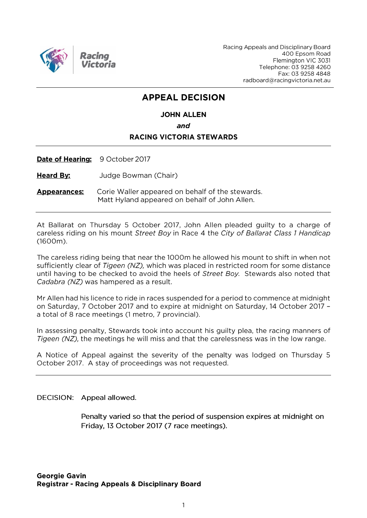

Racing Appeals and Disciplinary Board 400 Epsom Road Flemington VIC 3031 Telephone: 03 9258 4260 Fax: 03 9258 4848 radboard@racingvictoria.net.au

## **APPEAL DECISION**

#### **JOHN ALLEN**

and

#### **RACING VICTORIA STEWARDS**

Date of Hearing: 9 October 2017

**Heard By:** Judge Bowman (Chair)

**Appearances:** Corie Waller appeared on behalf of the stewards. Matt Hyland appeared on behalf of John Allen.

At Ballarat on Thursday 5 October 2017, John Allen pleaded guilty to a charge of careless riding on his mount Street Boy in Race 4 the City of Ballarat Class 1 Handicap  $(1600m)$ .

The careless riding being that near the 1000m he allowed his mount to shift in when not sufficiently clear of Tigeen (NZ), which was placed in restricted room for some distance until having to be checked to avoid the heels of Street Boy. Stewards also noted that Cadabra (NZ) was hampered as a result.

Mr Allen had his licence to ride in races suspended for a period to commence at midnight on Saturday, 7 October 2017 and to expire at midnight on Saturday, 14 October 2017 a total of 8 race meetings (1 metro, 7 provincial).

In assessing penalty, Stewards took into account his guilty plea, the racing manners of Tigeen ( $NZ$ ), the meetings he will miss and that the carelessness was in the low range.

A Notice of Appeal against the severity of the penalty was lodged on Thursday 5 October 2017. A stay of proceedings was not requested.

DECISION: Appeal allowed.

Penalty varied so that the period of suspension expires at midnight on Friday, 13 October 2017 (7 race meetings).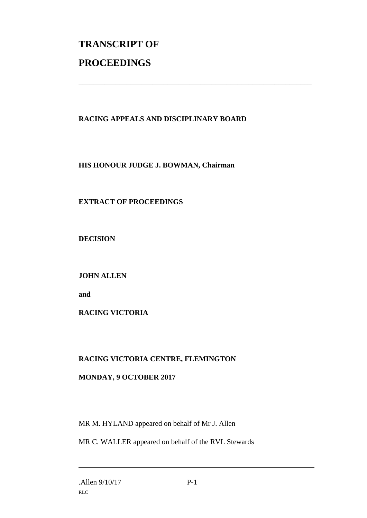# **TRANSCRIPT OF PROCEEDINGS**

### **RACING APPEALS AND DISCIPLINARY BOARD**

\_\_\_\_\_\_\_\_\_\_\_\_\_\_\_\_\_\_\_\_\_\_\_\_\_\_\_\_\_\_\_\_\_\_\_\_\_\_\_\_\_\_\_\_\_\_\_\_\_\_\_\_\_\_\_\_\_\_\_\_\_\_\_

**HIS HONOUR JUDGE J. BOWMAN, Chairman**

### **EXTRACT OF PROCEEDINGS**

**DECISION**

**JOHN ALLEN**

**and** 

**RACING VICTORIA**

#### **RACING VICTORIA CENTRE, FLEMINGTON**

#### **MONDAY, 9 OCTOBER 2017**

MR M. HYLAND appeared on behalf of Mr J. Allen

MR C. WALLER appeared on behalf of the RVL Stewards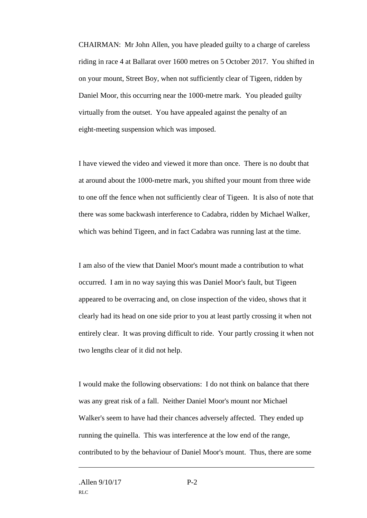CHAIRMAN: Mr John Allen, you have pleaded guilty to a charge of careless riding in race 4 at Ballarat over 1600 metres on 5 October 2017. You shifted in on your mount, Street Boy, when not sufficiently clear of Tigeen, ridden by Daniel Moor, this occurring near the 1000-metre mark. You pleaded guilty virtually from the outset. You have appealed against the penalty of an eight-meeting suspension which was imposed.

I have viewed the video and viewed it more than once. There is no doubt that at around about the 1000-metre mark, you shifted your mount from three wide to one off the fence when not sufficiently clear of Tigeen. It is also of note that there was some backwash interference to Cadabra, ridden by Michael Walker, which was behind Tigeen, and in fact Cadabra was running last at the time.

I am also of the view that Daniel Moor's mount made a contribution to what occurred. I am in no way saying this was Daniel Moor's fault, but Tigeen appeared to be overracing and, on close inspection of the video, shows that it clearly had its head on one side prior to you at least partly crossing it when not entirely clear. It was proving difficult to ride. Your partly crossing it when not two lengths clear of it did not help.

I would make the following observations: I do not think on balance that there was any great risk of a fall. Neither Daniel Moor's mount nor Michael Walker's seem to have had their chances adversely affected. They ended up running the quinella. This was interference at the low end of the range, contributed to by the behaviour of Daniel Moor's mount. Thus, there are some